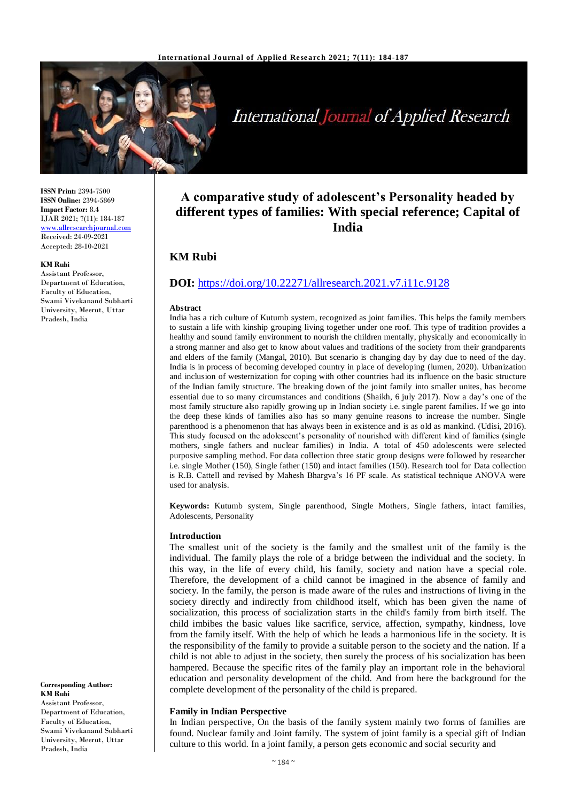

# **International Journal of Applied Research**

**ISSN Print:** 2394-7500 **ISSN Online:** 2394-5869 **Impact Factor:** 8.4 IJAR 2021; 7(11): 184-187 [www.allresearchjournal.com](http://www.allresearchjournal.com/) Received: 24-09-2021 Accepted: 28-10-2021

#### **KM Rubi**

Assistant Professor, Department of Education, Faculty of Education, Swami Vivekanand Subharti University, Meerut, Uttar Pradesh, India

**Corresponding Author: KM Rubi** Assistant Professor, Department of Education, Faculty of Education, Swami Vivekanand Subharti University, Meerut, Uttar Pradesh, India

# **A comparative study of adolescent's Personality headed by different types of families: With special reference; Capital of India**

# **KM Rubi**

# **DOI:** <https://doi.org/10.22271/allresearch.2021.v7.i11c.9128>

#### **Abstract**

India has a rich culture of Kutumb system, recognized as joint families. This helps the family members to sustain a life with kinship grouping living together under one roof. This type of tradition provides a healthy and sound family environment to nourish the children mentally, physically and economically in a strong manner and also get to know about values and traditions of the society from their grandparents and elders of the family (Mangal, 2010). But scenario is changing day by day due to need of the day. India is in process of becoming developed country in place of developing (lumen, 2020). Urbanization and inclusion of westernization for coping with other countries had its influence on the basic structure of the Indian family structure. The breaking down of the joint family into smaller unites, has become essential due to so many circumstances and conditions (Shaikh, 6 july 2017). Now a day's one of the most family structure also rapidly growing up in Indian society i.e. single parent families. If we go into the deep these kinds of families also has so many genuine reasons to increase the number. Single parenthood is a phenomenon that has always been in existence and is as old as mankind. (Udisi, 2016). This study focused on the adolescent's personality of nourished with different kind of families (single mothers, single fathers and nuclear families) in India. A total of 450 adolescents were selected purposive sampling method. For data collection three static group designs were followed by researcher i.e. single Mother (150), Single father (150) and intact families (150). Research tool for Data collection is R.B. Cattell and revised by Mahesh Bhargva's 16 PF scale. As statistical technique ANOVA were used for analysis.

**Keywords:** Kutumb system, Single parenthood, Single Mothers, Single fathers, intact families, Adolescents, Personality

#### **Introduction**

The smallest unit of the society is the family and the smallest unit of the family is the individual. The family plays the role of a bridge between the individual and the society. In this way, in the life of every child, his family, society and nation have a special role. Therefore, the development of a child cannot be imagined in the absence of family and society. In the family, the person is made aware of the rules and instructions of living in the society directly and indirectly from childhood itself, which has been given the name of socialization, this process of socialization starts in the child's family from birth itself. The child imbibes the basic values like sacrifice, service, affection, sympathy, kindness, love from the family itself. With the help of which he leads a harmonious life in the society. It is the responsibility of the family to provide a suitable person to the society and the nation. If a child is not able to adjust in the society, then surely the process of his socialization has been hampered. Because the specific rites of the family play an important role in the behavioral education and personality development of the child. And from here the background for the complete development of the personality of the child is prepared.

## **Family in Indian Perspective**

In Indian perspective, On the basis of the family system mainly two forms of families are found. Nuclear family and Joint family. The system of joint family is a special gift of Indian culture to this world. In a joint family, a person gets economic and social security and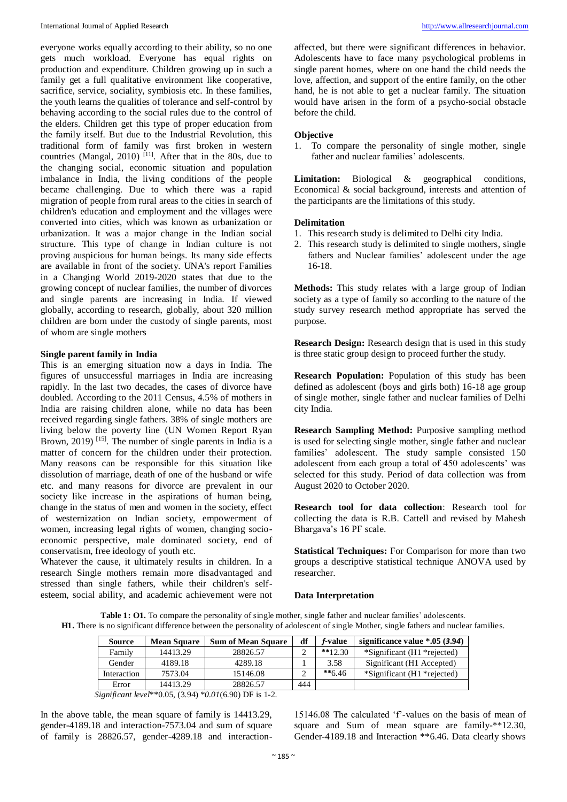everyone works equally according to their ability, so no one gets much workload. Everyone has equal rights on production and expenditure. Children growing up in such a family get a full qualitative environment like cooperative, sacrifice, service, sociality, symbiosis etc. In these families, the youth learns the qualities of tolerance and self-control by behaving according to the social rules due to the control of the elders. Children get this type of proper education from the family itself. But due to the Industrial Revolution, this traditional form of family was first broken in western countries (Mangal, 2010)  $^{[11]}$ . After that in the 80s, due to the changing social, economic situation and population imbalance in India, the living conditions of the people became challenging. Due to which there was a rapid migration of people from rural areas to the cities in search of children's education and employment and the villages were converted into cities, which was known as urbanization or urbanization. It was a major change in the Indian social structure. This type of change in Indian culture is not proving auspicious for human beings. Its many side effects are available in front of the society. UNA's report Families in a Changing World 2019-2020 states that due to the growing concept of nuclear families, the number of divorces and single parents are increasing in India. If viewed globally, according to research, globally, about 320 million children are born under the custody of single parents, most of whom are single mothers

### **Single parent family in India**

This is an emerging situation now a days in India. The figures of unsuccessful marriages in India are increasing rapidly. In the last two decades, the cases of divorce have doubled. According to the 2011 Census, 4.5% of mothers in India are raising children alone, while no data has been received regarding single fathers. 38% of single mothers are living below the poverty line (UN Women Report Ryan Brown, 2019)<sup>[15]</sup>. The number of single parents in India is a matter of concern for the children under their protection. Many reasons can be responsible for this situation like dissolution of marriage, death of one of the husband or wife etc. and many reasons for divorce are prevalent in our society like increase in the aspirations of human being, change in the status of men and women in the society, effect of westernization on Indian society, empowerment of women, increasing legal rights of women, changing socioeconomic perspective, male dominated society, end of conservatism, free ideology of youth etc.

Whatever the cause, it ultimately results in children. In a research Single mothers remain more disadvantaged and stressed than single fathers, while their children's selfesteem, social ability, and academic achievement were not

affected, but there were significant differences in behavior. Adolescents have to face many psychological problems in single parent homes, where on one hand the child needs the love, affection, and support of the entire family, on the other hand, he is not able to get a nuclear family. The situation would have arisen in the form of a psycho-social obstacle before the child.

#### **Objective**

1. To compare the personality of single mother, single father and nuclear families' adolescents.

**Limitation:** Biological & geographical conditions, Economical & social background, interests and attention of the participants are the limitations of this study.

#### **Delimitation**

- 1. This research study is delimited to Delhi city India.
- 2. This research study is delimited to single mothers, single fathers and Nuclear families' adolescent under the age 16-18.

**Methods:** This study relates with a large group of Indian society as a type of family so according to the nature of the study survey research method appropriate has served the purpose.

**Research Design:** Research design that is used in this study is three static group design to proceed further the study.

**Research Population:** Population of this study has been defined as adolescent (boys and girls both) 16-18 age group of single mother, single father and nuclear families of Delhi city India.

**Research Sampling Method:** Purposive sampling method is used for selecting single mother, single father and nuclear families' adolescent. The study sample consisted 150 adolescent from each group a total of 450 adolescents' was selected for this study. Period of data collection was from August 2020 to October 2020.

**Research tool for data collection**: Research tool for collecting the data is R.B. Cattell and revised by Mahesh Bhargava's 16 PF scale.

**Statistical Techniques:** For Comparison for more than two groups a descriptive statistical technique ANOVA used by researcher.

#### **Data Interpretation**

**Table 1: O1.** To compare the personality of single mother, single father and nuclear families' adolescents. **H1.** There is no significant difference between the personality of adolescent of single Mother, single fathers and nuclear families.

| <b>Source</b> | <b>Mean Square</b> | <b>Sum of Mean Square</b> | df  | <i>f</i> -value | significance value $*0.05(3.94)$ |
|---------------|--------------------|---------------------------|-----|-----------------|----------------------------------|
| Family        | 14413.29           | 28826.57                  |     | $**12.30$       | *Significant (H1 *rejected)      |
| Gender        | 4189.18            | 4289.18                   |     | 3.58            | Significant (H1 Accepted)        |
| Interaction   | 7573.04            | 15146.08                  |     | $*$ $*$ 6.46    | *Significant (H1 *rejected)      |
| Error         | 14413.29           | 28826.57                  | 444 |                 |                                  |

*Significant level*\*\*0.05, (3.94) *\*0.01*(6.90) DF is 1-2.

In the above table, the mean square of family is 14413.29, gender-4189.18 and interaction-7573.04 and sum of square of family is 28826.57, gender-4289.18 and interaction-

15146.08 The calculated 'f'-values on the basis of mean of square and Sum of mean square are family-\*\*12.30, Gender-4189.18 and Interaction \*\*6.46. Data clearly shows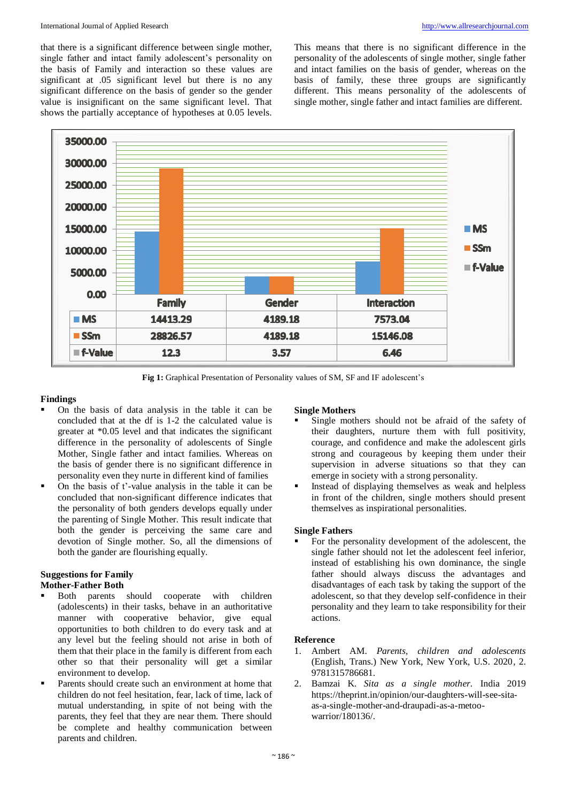that there is a significant difference between single mother, single father and intact family adolescent's personality on the basis of Family and interaction so these values are significant at .05 significant level but there is no any significant difference on the basis of gender so the gender value is insignificant on the same significant level. That shows the partially acceptance of hypotheses at 0.05 levels.

This means that there is no significant difference in the personality of the adolescents of single mother, single father and intact families on the basis of gender, whereas on the basis of family, these three groups are significantly different. This means personality of the adolescents of single mother, single father and intact families are different.



**Fig 1:** Graphical Presentation of Personality values of SM, SF and IF adolescent's

# **Findings**

- On the basis of data analysis in the table it can be concluded that at the df is 1-2 the calculated value is greater at \*0.05 level and that indicates the significant difference in the personality of adolescents of Single Mother, Single father and intact families. Whereas on the basis of gender there is no significant difference in personality even they nurte in different kind of families
- On the basis of t'-value analysis in the table it can be concluded that non-significant difference indicates that the personality of both genders develops equally under the parenting of Single Mother. This result indicate that both the gender is perceiving the same care and devotion of Single mother. So, all the dimensions of both the gander are flourishing equally.

# **Suggestions for Family**

# **Mother-Father Both**

- Both parents should cooperate with children (adolescents) in their tasks, behave in an authoritative manner with cooperative behavior, give equal opportunities to both children to do every task and at any level but the feeling should not arise in both of them that their place in the family is different from each other so that their personality will get a similar environment to develop.
- Parents should create such an environment at home that children do not feel hesitation, fear, lack of time, lack of mutual understanding, in spite of not being with the parents, they feel that they are near them. There should be complete and healthy communication between parents and children.

#### **Single Mothers**

- Single mothers should not be afraid of the safety of their daughters, nurture them with full positivity, courage, and confidence and make the adolescent girls strong and courageous by keeping them under their supervision in adverse situations so that they can emerge in society with a strong personality.
- Instead of displaying themselves as weak and helpless in front of the children, single mothers should present themselves as inspirational personalities.

#### **Single Fathers**

 For the personality development of the adolescent, the single father should not let the adolescent feel inferior, instead of establishing his own dominance, the single father should always discuss the advantages and disadvantages of each task by taking the support of the adolescent, so that they develop self-confidence in their personality and they learn to take responsibility for their actions.

#### **Reference**

- 1. Ambert AM. *Parents, children and adolescents* (English, Trans.) New York, New York, U.S. 2020, 2. 9781315786681.
- 2. Bamzai K. *Sita as a single mother.* India 2019 https://theprint.in/opinion/our-daughters-will-see-sitaas-a-single-mother-and-draupadi-as-a-metoowarrior/180136/.